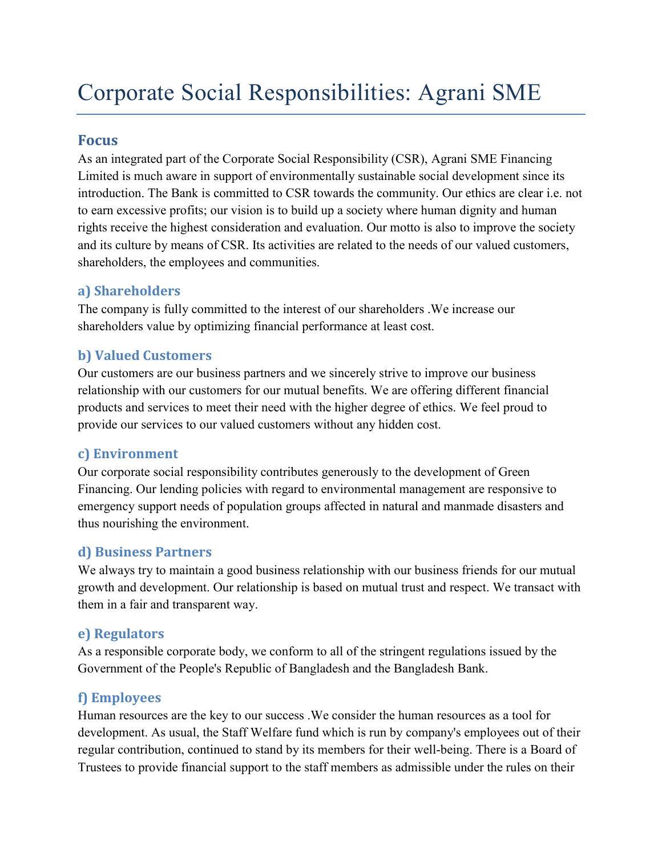# Corporate Social Responsibilities: Agrani SME

#### **Focus**

As an integrated part of the Corporate Social Responsibility (CSR), Agrani SME Financing Limited is much aware in support of environmentally sustainable social development since its introduction. The Bank is committed to CSR towards the community. Our ethics are clear i.e. not to earn excessive profits; our vision is to build up a society where human dignity and human rights receive the highest consideration and evaluation. Our motto is also to improve the society and its culture by means of CSR. Its activities are related to the needs of our valued customers, shareholders, the employees and communities.

### **a) Shareholders**

The company is fully committed to the interest of our shareholders .We increase our shareholders value by optimizing financial performance at least cost.

## **b) Valued Customers**

Our customers are our business partners and we sincerely strive to improve our business relationship with our customers for our mutual benefits. We are offering different financial products and services to meet their need with the higher degree of ethics. We feel proud to provide our services to our valued customers without any hidden cost.

### **c) Environment**

Our corporate social responsibility contributes generously to the development of Green Financing. Our lending policies with regard to environmental management are responsive to emergency support needs of population groups affected in natural and manmade disasters and thus nourishing the environment.

### **d) Business Partners**

We always try to maintain a good business relationship with our business friends for our mutual growth and development. Our relationship is based on mutual trust and respect. We transact with them in a fair and transparent way.

### **e) Regulators**

As a responsible corporate body, we conform to all of the stringent regulations issued by the Government of the People's Republic of Bangladesh and the Bangladesh Bank.

### **f) Employees**

Human resources are the key to our success .We consider the human resources as a tool for development. As usual, the Staff Welfare fund which is run by company's employees out of their regular contribution, continued to stand by its members for their well-being. There is a Board of Trustees to provide financial support to the staff members as admissible under the rules on their